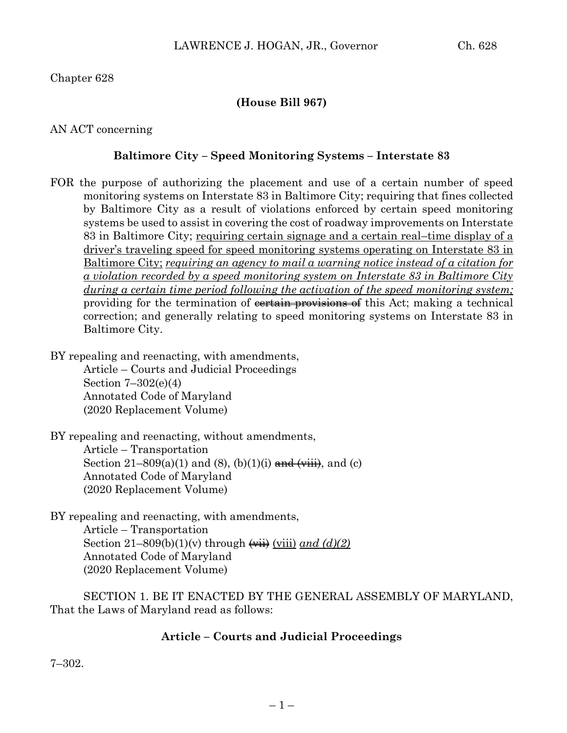Chapter 628

### **(House Bill 967)**

AN ACT concerning

#### **Baltimore City – Speed Monitoring Systems – Interstate 83**

FOR the purpose of authorizing the placement and use of a certain number of speed monitoring systems on Interstate 83 in Baltimore City; requiring that fines collected by Baltimore City as a result of violations enforced by certain speed monitoring systems be used to assist in covering the cost of roadway improvements on Interstate 83 in Baltimore City; requiring certain signage and a certain real–time display of a driver's traveling speed for speed monitoring systems operating on Interstate 83 in Baltimore City; *requiring an agency to mail a warning notice instead of a citation for a violation recorded by a speed monitoring system on Interstate 83 in Baltimore City during a certain time period following the activation of the speed monitoring system;* providing for the termination of constraint provisions of this Act; making a technical correction; and generally relating to speed monitoring systems on Interstate 83 in Baltimore City.

BY repealing and reenacting, with amendments,

Article – Courts and Judicial Proceedings Section 7–302(e)(4) Annotated Code of Maryland (2020 Replacement Volume)

BY repealing and reenacting, without amendments, Article – Transportation Section  $21-809(a)(1)$  and  $(8)$ ,  $(b)(1)(i)$  and  $(viiii)$ , and  $(c)$ Annotated Code of Maryland (2020 Replacement Volume)

BY repealing and reenacting, with amendments, Article – Transportation Section  $21-809(b)(1)(v)$  through  $\overrightarrow{(with)}$   $\overrightarrow{(viii)}$  *and*  $\overrightarrow{(d)}$ Annotated Code of Maryland (2020 Replacement Volume)

SECTION 1. BE IT ENACTED BY THE GENERAL ASSEMBLY OF MARYLAND, That the Laws of Maryland read as follows:

### **Article – Courts and Judicial Proceedings**

7–302.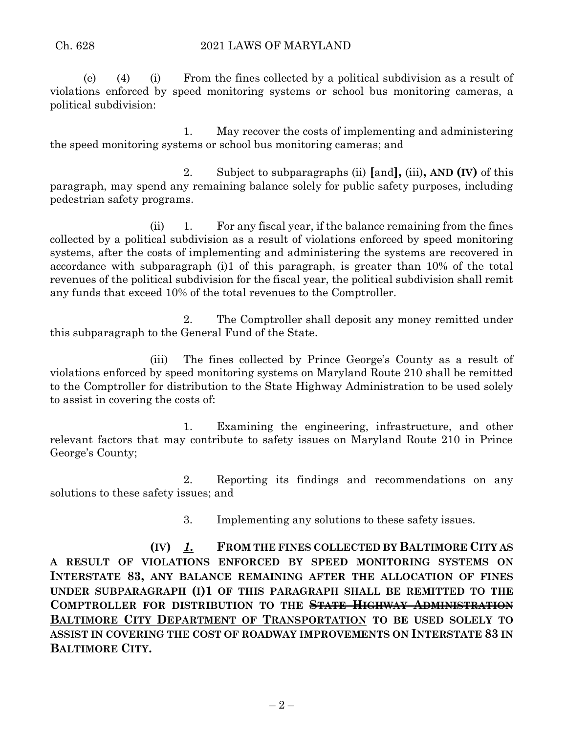(e) (4) (i) From the fines collected by a political subdivision as a result of violations enforced by speed monitoring systems or school bus monitoring cameras, a political subdivision:

1. May recover the costs of implementing and administering the speed monitoring systems or school bus monitoring cameras; and

2. Subject to subparagraphs (ii) **[**and**],** (iii)**, AND (IV)** of this paragraph, may spend any remaining balance solely for public safety purposes, including pedestrian safety programs.

(ii) 1. For any fiscal year, if the balance remaining from the fines collected by a political subdivision as a result of violations enforced by speed monitoring systems, after the costs of implementing and administering the systems are recovered in accordance with subparagraph (i)1 of this paragraph, is greater than 10% of the total revenues of the political subdivision for the fiscal year, the political subdivision shall remit any funds that exceed 10% of the total revenues to the Comptroller.

2. The Comptroller shall deposit any money remitted under this subparagraph to the General Fund of the State.

(iii) The fines collected by Prince George's County as a result of violations enforced by speed monitoring systems on Maryland Route 210 shall be remitted to the Comptroller for distribution to the State Highway Administration to be used solely to assist in covering the costs of:

1. Examining the engineering, infrastructure, and other relevant factors that may contribute to safety issues on Maryland Route 210 in Prince George's County;

2. Reporting its findings and recommendations on any solutions to these safety issues; and

3. Implementing any solutions to these safety issues.

**(IV)** *1.* **FROM THE FINES COLLECTED BY BALTIMORE CITY AS A RESULT OF VIOLATIONS ENFORCED BY SPEED MONITORING SYSTEMS ON INTERSTATE 83, ANY BALANCE REMAINING AFTER THE ALLOCATION OF FINES UNDER SUBPARAGRAPH (I)1 OF THIS PARAGRAPH SHALL BE REMITTED TO THE COMPTROLLER FOR DISTRIBUTION TO THE STATE HIGHWAY ADMINISTRATION BALTIMORE CITY DEPARTMENT OF TRANSPORTATION TO BE USED SOLELY TO ASSIST IN COVERING THE COST OF ROADWAY IMPROVEMENTS ON INTERSTATE 83 IN BALTIMORE CITY.**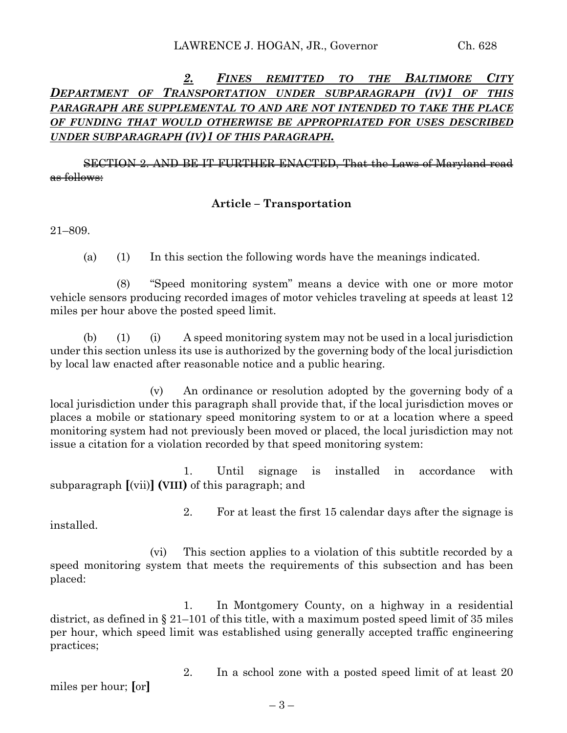## *2. FINES REMITTED TO THE BALTIMORE CITY DEPARTMENT OF TRANSPORTATION UNDER SUBPARAGRAPH (IV)1 OF THIS PARAGRAPH ARE SUPPLEMENTAL TO AND ARE NOT INTENDED TO TAKE THE PLACE OF FUNDING THAT WOULD OTHERWISE BE APPROPRIATED FOR USES DESCRIBED UNDER SUBPARAGRAPH (IV)1 OF THIS PARAGRAPH.*

SECTION 2. AND BE IT FURTHER ENACTED, That the Laws of Maryland read as follows:

#### **Article – Transportation**

21–809.

(a) (1) In this section the following words have the meanings indicated.

(8) "Speed monitoring system" means a device with one or more motor vehicle sensors producing recorded images of motor vehicles traveling at speeds at least 12 miles per hour above the posted speed limit.

(b) (1) (i) A speed monitoring system may not be used in a local jurisdiction under this section unless its use is authorized by the governing body of the local jurisdiction by local law enacted after reasonable notice and a public hearing.

(v) An ordinance or resolution adopted by the governing body of a local jurisdiction under this paragraph shall provide that, if the local jurisdiction moves or places a mobile or stationary speed monitoring system to or at a location where a speed monitoring system had not previously been moved or placed, the local jurisdiction may not issue a citation for a violation recorded by that speed monitoring system:

1. Until signage is installed in accordance with subparagraph **[**(vii)**] (VIII)** of this paragraph; and

installed.

2. For at least the first 15 calendar days after the signage is

(vi) This section applies to a violation of this subtitle recorded by a speed monitoring system that meets the requirements of this subsection and has been placed:

1. In Montgomery County, on a highway in a residential district, as defined in § 21–101 of this title, with a maximum posted speed limit of 35 miles per hour, which speed limit was established using generally accepted traffic engineering practices;

miles per hour; **[**or**]**

2. In a school zone with a posted speed limit of at least 20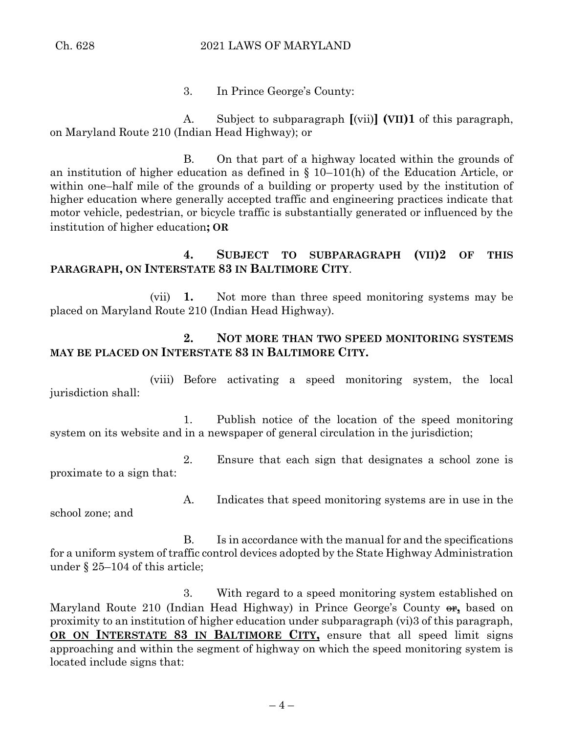#### Ch. 628 2021 LAWS OF MARYLAND

3. In Prince George's County:

A. Subject to subparagraph **[**(vii)**] (VII)1** of this paragraph, on Maryland Route 210 (Indian Head Highway); or

B. On that part of a highway located within the grounds of an institution of higher education as defined in § 10–101(h) of the Education Article, or within one–half mile of the grounds of a building or property used by the institution of higher education where generally accepted traffic and engineering practices indicate that motor vehicle, pedestrian, or bicycle traffic is substantially generated or influenced by the institution of higher education**; OR**

# **4. SUBJECT TO SUBPARAGRAPH (VII)2 OF THIS PARAGRAPH, ON INTERSTATE 83 IN BALTIMORE CITY**.

(vii) **1.** Not more than three speed monitoring systems may be placed on Maryland Route 210 (Indian Head Highway).

# **2. NOT MORE THAN TWO SPEED MONITORING SYSTEMS MAY BE PLACED ON INTERSTATE 83 IN BALTIMORE CITY.**

(viii) Before activating a speed monitoring system, the local jurisdiction shall:

1. Publish notice of the location of the speed monitoring system on its website and in a newspaper of general circulation in the jurisdiction;

2. Ensure that each sign that designates a school zone is proximate to a sign that:

school zone; and

A. Indicates that speed monitoring systems are in use in the

B. Is in accordance with the manual for and the specifications for a uniform system of traffic control devices adopted by the State Highway Administration under § 25–104 of this article;

3. With regard to a speed monitoring system established on Maryland Route 210 (Indian Head Highway) in Prince George's County  $\theta$ <sub>1</sub> based on proximity to an institution of higher education under subparagraph (vi)3 of this paragraph, **OR ON INTERSTATE 83 IN BALTIMORE CITY,** ensure that all speed limit signs approaching and within the segment of highway on which the speed monitoring system is located include signs that: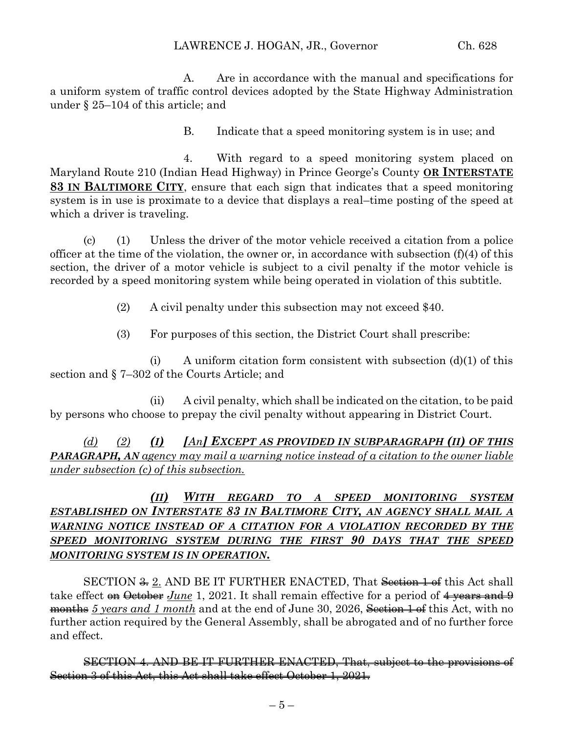A. Are in accordance with the manual and specifications for a uniform system of traffic control devices adopted by the State Highway Administration under § 25–104 of this article; and

B. Indicate that a speed monitoring system is in use; and

4. With regard to a speed monitoring system placed on Maryland Route 210 (Indian Head Highway) in Prince George's County **OR INTERSTATE 83 IN BALTIMORE CITY**, ensure that each sign that indicates that a speed monitoring system is in use is proximate to a device that displays a real–time posting of the speed at which a driver is traveling.

(c) (1) Unless the driver of the motor vehicle received a citation from a police officer at the time of the violation, the owner or, in accordance with subsection  $(f)(4)$  of this section, the driver of a motor vehicle is subject to a civil penalty if the motor vehicle is recorded by a speed monitoring system while being operated in violation of this subtitle.

(2) A civil penalty under this subsection may not exceed \$40.

(3) For purposes of this section, the District Court shall prescribe:

(i) A uniform citation form consistent with subsection  $(d)(1)$  of this section and § 7–302 of the Courts Article; and

(ii) A civil penalty, which shall be indicated on the citation, to be paid by persons who choose to prepay the civil penalty without appearing in District Court.

*(d) (2) (I) [An] EXCEPT AS PROVIDED IN SUBPARAGRAPH (II) OF THIS PARAGRAPH, AN agency may mail a warning notice instead of a citation to the owner liable under subsection (c) of this subsection.* 

# *(II) WITH REGARD TO A SPEED MONITORING SYSTEM ESTABLISHED ON INTERSTATE 83 IN BALTIMORE CITY, AN AGENCY SHALL MAIL A WARNING NOTICE INSTEAD OF A CITATION FOR A VIOLATION RECORDED BY THE SPEED MONITORING SYSTEM DURING THE FIRST 90 DAYS THAT THE SPEED MONITORING SYSTEM IS IN OPERATION.*

SECTION <del>3.</del> 2. AND BE IT FURTHER ENACTED, That Section 1 of this Act shall take effect on October *June* 1, 2021. It shall remain effective for a period of 4 years and 9 months 5 years and 1 month and at the end of June 30, 2026, Section 1 of this Act, with no further action required by the General Assembly, shall be abrogated and of no further force and effect.

SECTION 4. AND BE IT FURTHER ENACTED, That, subject to the provisions of Section 3 of this Act, this Act shall take effect October 1, 2021.